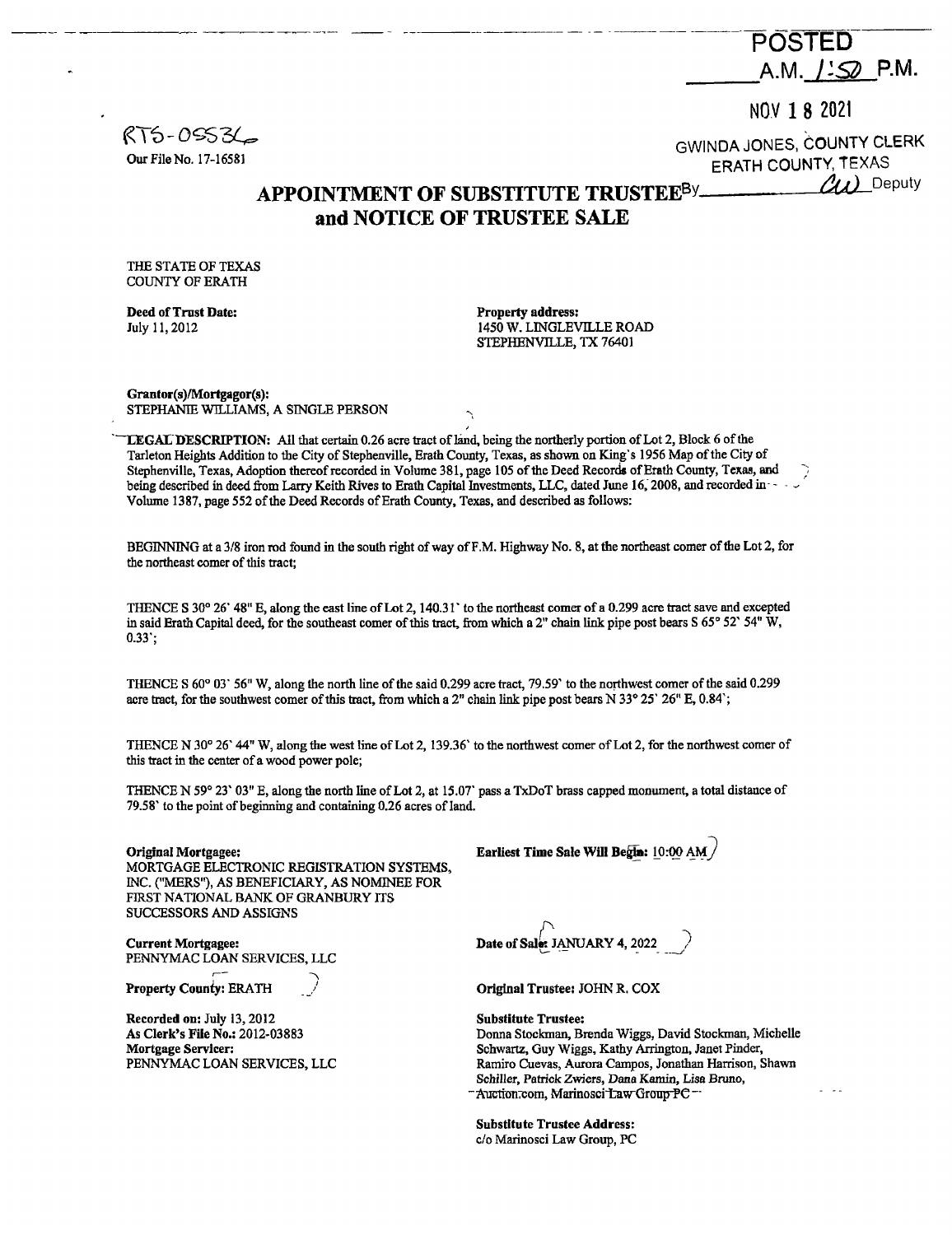---------·-- -- ---------------- -- ----------- **POSTED**  A.M. *J'S* P.M.

 $R$ TS-0SS3 $\mathcal{L}_{\mathsf{s}}$ Our File No. 17-16581

NOV **1 8** <sup>2021</sup> GWINDA JONES, COUNTY CLERK ERATH COUNTY, TEXAS

*tu)* Deputy

## **APPOINTMENT OF SUBSTITUTE TRUSTEE8Y and NOTICE OF TRUSTEE SALE**

THE STATE OF TEXAS COUNTY OF ERATH

**Deed of Trust Date:**  July 11, 2012

**Property address:**  1450 W. LlNGLEVILLE ROAD STEPHENVILLE, TX 76401

**Grantor(s)/Mortgagor(s):**  STEPHANIE WILLIAMS, A SINGLE PERSON

**TEGALDESCRIPTION:** All that certain 0.26 acre tract of land, being the northerly portion of Lot 2, Block 6 of the Tarleton Heights Addition to the City of Stephenville, Erath County, Texas, as shown on King's 1956 Map of the City of Stephenville, Texas, Adoption thereof recorded in Volume 381, page 105 of the Deed Records of Erath County, Texas, and being described in deed from Larry Keith Rives to Erath Capital Investments, LLC, dated June 16, 2008, and recorded in - - -Volume 1387, page *552* of the Deed Records of Erath County, Texas, and described as follows:

BEGINNING at a 3/8 iron rod found in the south right of way ofF .M. Highway No. 8, at the northeast comer of the Lot 2, for the northeast comer of this tract;

THENCE S 30° 26' 48" E, along the east line of Lot 2, 140.31' to the northeast comer of a 0.299 acre tract save and excepted in said Erath Capital deed, for the southeast comer of this tract, from which a 2" chain link pipe post bears  $S\ 65^{\circ}$  52"  $54^{\circ}$  W, 0.33';

THENCE S 60° 03' 56" W, along the north line of the said 0.299 acre tract, 79.59' to the northwest comer of the said 0.299 acre tract, for the southwest comer of this tract, from which a 2" chain link pipe post bears N 33° 25' 26" E, 0.84';

THENCE **N** 30° 26' 44" W, along the west line of Lot 2, 139.36' to the northwest comer of Lot 2, for the northwest comer of this tract in the center of a wood power pole;

THENCE N 59° 23' 03" E, along the north line of Lot 2, at IS.OT pass a TxDoT brass capped monument, a total distance of 79.58' to the point of beginning and containing 0.26 acres of land.

**Original Mortgagee:** 

MORTGAGE ELECTRONIC REGISTRATION SYSTEMS, INC. ("MERS''), AS BENEFICIARY, AS NOMINEE FOR FIRST NATIONAL BANK OF GRANBURY ITS SUCCESSORS AND ASSIGNS

**Current Mortgagee:**  PENNYMAC LOAN SERVICES, LLC<br>**Property County: ERATH** 

**Recorded on:** July 13, 2012 **As Clerk's File No.:** 2012-03883 **Mortgage Servicer:**  PENNYMAC LOAN SERVICES, LLC Earliest Time Sale **Will Begia:** LO:@ *~¥-]* 

Date of Sale: JANUARY 4, 2022

**Original Trustee:** JOHN R. COX

**Substitute Trustee:**  Donna Stockman, Brenda Wiggs, David Stockman, Michelle Schwartz, Guy Wiggs, Kathy Arrington, Janet Pinder, Ramiro Cuevas, Aurora Campos, Jonathan Harrison, Shawn Schiller, Patrick Zwiers, Dana Kamin, Lisa Bruno, -<br>Auction.com, Marinosci-Law Group-PC--

**Substltute Trustee Address:**  c/o Marinosci Law Group, PC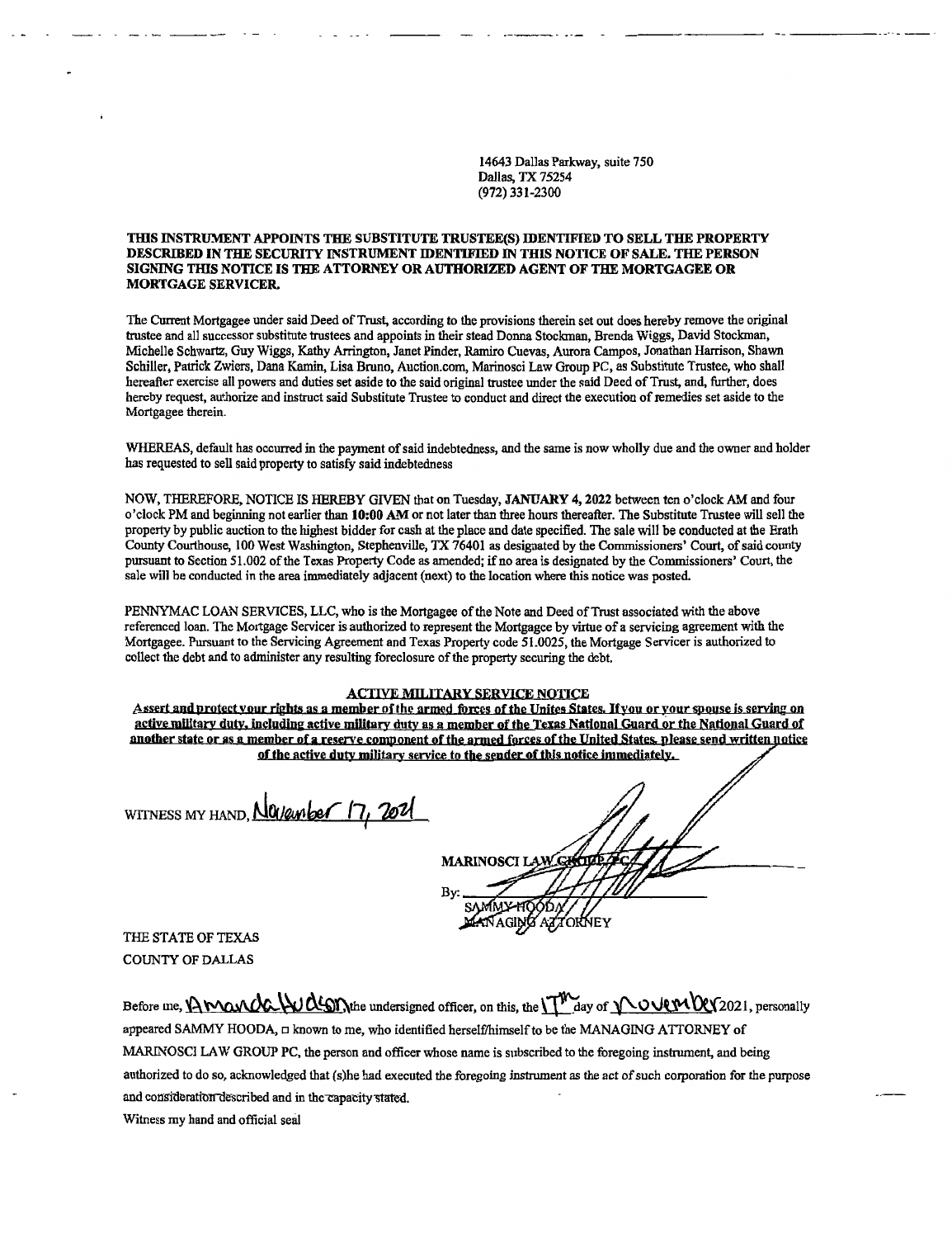14643 Dallas Parkway, suite 750 Dallas, TX 75254 (972) 331-2300

--------·---·

## **THIS INSTRUMENT APPOINTS THE SUBSTITUTE TRUSTEE(S) IDENTIFIED TO SELL THE PROPERTY DESCRIBED IN** THE **SECURITY INSTRUMENT IDENTIFIED** IN **THIS NOTICE OF SALE. THE PERSON**  SIGNING THIS NOTICE IS THE ATTORNEY OR AUTHORIZED AGENT OF THE MORTGAGEE OR **MORTGAGE SERVICER.**

The Current Mortgagee under said Deed of Trust, according to the provisions therein set out does hereby remove the original trustee and all successor substitute trustees and appoints in their stead Donna Stockman, Brenda Wiggs, David Stockman, Michelle Schwartz, Guy Wiggs, Kathy Arrington, Janet Pinder, Ramiro Cuevas, Aurora Campos, Jonathan Harrison, Shawn Schiller, Patrick Zwiers, Dana Kamin, Lisa Bruno, Auction.com, Marinosci Law Group PC, as Substitute Trustee, who shall hereafter exercise all powers and duties set aside to the said original trustee under the said Deed of Trust, and, further, does hereby request, authorize and instruct said Substitute Trustee to conduct and direct the execution of remedies set aside to the Mortgagee therein.

WHEREAS, default has occurred in the payment of said indebtedness, and the same is now wholly due and the owner and holder has requested to sell said property to satisfy said indebtedness

NOW, THEREFORE, NOTICE IS HEREBY GIVEN that on Tuesday, **JANUARY** 4, 2022 between ten o'clock AM and four o'clock PM and beginning not earlier than 10:00 AM or not later than three hours thereafter. The Substitute Trustee will sell the property by public auction to the highest bidder for cash at the place and date specified. The sale will be conducted at the Erath County Courthouse, 100 West Washington, Stephenville, TX 76401 as designated by the Commissioners' Court, of said county pursuant to Section 51.002 of the Texas Property Code as amended; if no area is designated by the Commissioners' Court, the sale will be conducted in the area immediately adjacent (next) to the location where this notice was posted.

PENNYMAC LOAN SERVICES, LLC, who is the Mortgagee of the Note and Deed of Trust associated with the above referenced loan. The Mortgage Servicer is authorized to represent the Mortgagee by virtue of a servicing agreement with the Mortgagee. Pursuant to the Servicing Agreement and Texas Property code 51.0025, the Mortgage Servicer is authorized to collect the debt and to administer any resulting foreclosure of the property securing the debt.

## **ACTIVE MILITARY SERVICE NOTICE**

Assert and protect your rights as a member of the armed forces of the Unites States. If you or your spouse is serving on active military duty, including active military duty as a member of the Texas National Guard or the National Guard of another state or as a member of a reserve component of the armed forces of the United States, please send written notice of the active duty military service to the sender of this notice immediately.

WITNESS MY HAND, *NOIEMber* 17, 2021

**MARINOSCI I** XHQODN///<br>GING AZTORNEY

THE STATE OF TEXAS COUNTY OF DALLAS

Before me, **Awonda Watm** undersigned officer, on this, the **TW** day of **NOUPIRY** 2021, personally appeared SAMMY HOODA,  $\square$  known to me, who identified herself/himself to be the MANAGING ATTORNEY of MARINOSCI LAW GROUP PC, the person and officer whose name is subscribed to the foregoing instrument, and being authorized to do so, acknowledged that (s)he had executed the foregoing instrument as the act of such corporation for the purpose and consideration described and in the capacity stated.

Witness my hand and official seal